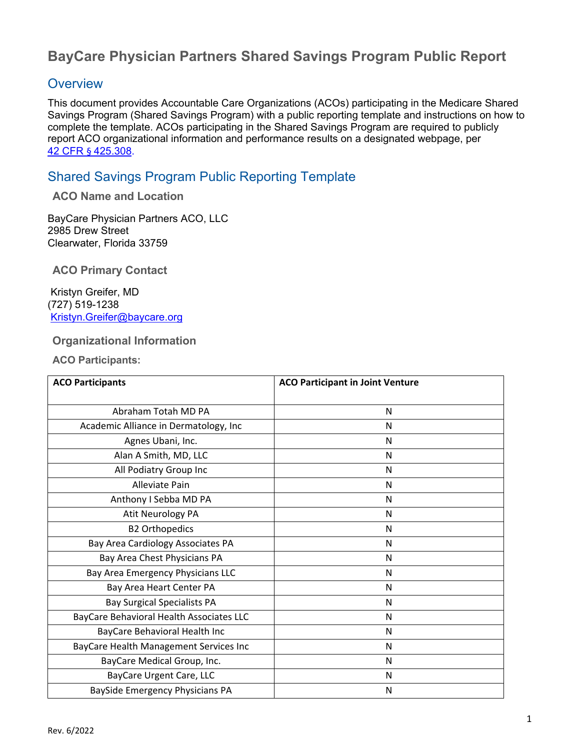# **BayCare Physician Partners Shared Savings Program Public Report**

## **Overview**

This document provides Accountable Care Organizations (ACOs) participating in the Medicare Shared Savings Program (Shared Savings Program) with a public reporting template and instructions on how to complete the template. ACOs participating in the Shared Savings Program are required to publicly report ACO organizational information and performance results on a designated webpage, per 42 CFR § 425.308.

## Shared Savings Program Public Reporting Template

#### **ACO Name and Location**

BayCare Physician Partners ACO, LLC 2985 Drew Street Clearwater, Florida 33759

**ACO Primary Contact** 

 Kristyn Greifer, MD (727) 519-1238 Kristyn.Greifer@baycare.org

#### **Organizational Information**

**ACO Participants:** 

| <b>ACO Participants</b>                  | <b>ACO Participant in Joint Venture</b> |  |
|------------------------------------------|-----------------------------------------|--|
| Abraham Totah MD PA                      | N                                       |  |
| Academic Alliance in Dermatology, Inc    | N                                       |  |
| Agnes Ubani, Inc.                        | N                                       |  |
| Alan A Smith, MD, LLC                    | N                                       |  |
| All Podiatry Group Inc                   | N                                       |  |
| Alleviate Pain                           | N                                       |  |
| Anthony I Sebba MD PA                    | N                                       |  |
| Atit Neurology PA                        | N                                       |  |
| <b>B2 Orthopedics</b>                    | N                                       |  |
| Bay Area Cardiology Associates PA        | N                                       |  |
| Bay Area Chest Physicians PA             | N                                       |  |
| Bay Area Emergency Physicians LLC        | N                                       |  |
| Bay Area Heart Center PA                 | N                                       |  |
| <b>Bay Surgical Specialists PA</b>       | N                                       |  |
| BayCare Behavioral Health Associates LLC | N                                       |  |
| BayCare Behavioral Health Inc            | N                                       |  |
| BayCare Health Management Services Inc   | N                                       |  |
| BayCare Medical Group, Inc.              | N                                       |  |
| BayCare Urgent Care, LLC                 | N                                       |  |
| BaySide Emergency Physicians PA          | N                                       |  |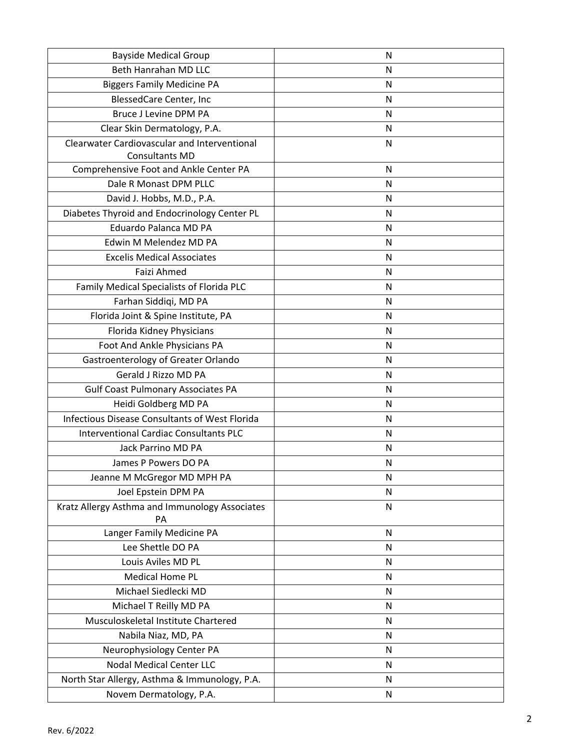| <b>Bayside Medical Group</b>                   | N            |
|------------------------------------------------|--------------|
| Beth Hanrahan MD LLC                           | N            |
| <b>Biggers Family Medicine PA</b>              | N            |
| BlessedCare Center, Inc                        | N            |
| <b>Bruce J Levine DPM PA</b>                   | N            |
| Clear Skin Dermatology, P.A.                   | N            |
| Clearwater Cardiovascular and Interventional   | N            |
| Consultants MD                                 |              |
| Comprehensive Foot and Ankle Center PA         | $\mathsf{N}$ |
| Dale R Monast DPM PLLC                         | N            |
| David J. Hobbs, M.D., P.A.                     | N            |
| Diabetes Thyroid and Endocrinology Center PL   | N            |
| Eduardo Palanca MD PA                          | N            |
| Edwin M Melendez MD PA                         | N            |
| <b>Excelis Medical Associates</b>              | N            |
| Faizi Ahmed                                    | N            |
| Family Medical Specialists of Florida PLC      | N            |
| Farhan Siddiqi, MD PA                          | N            |
| Florida Joint & Spine Institute, PA            | N            |
| Florida Kidney Physicians                      | N            |
| Foot And Ankle Physicians PA                   | N            |
| Gastroenterology of Greater Orlando            | N            |
| Gerald J Rizzo MD PA                           | N            |
| <b>Gulf Coast Pulmonary Associates PA</b>      | N            |
| Heidi Goldberg MD PA                           | N            |
| Infectious Disease Consultants of West Florida | N            |
| <b>Interventional Cardiac Consultants PLC</b>  | N            |
| Jack Parrino MD PA                             | N            |
| James P Powers DO PA                           | N            |
| Jeanne M McGregor MD MPH PA                    | N            |
| Joel Epstein DPM PA                            | N            |
| Kratz Allergy Asthma and Immunology Associates | N            |
| PA                                             |              |
| Langer Family Medicine PA                      | $\mathsf{N}$ |
| Lee Shettle DO PA                              | N            |
| Louis Aviles MD PL                             | N            |
| <b>Medical Home PL</b>                         | N            |
| Michael Siedlecki MD                           | N            |
| Michael T Reilly MD PA                         | ${\sf N}$    |
| Musculoskeletal Institute Chartered            | ${\sf N}$    |
| Nabila Niaz, MD, PA                            | N            |
| Neurophysiology Center PA                      | N            |
| <b>Nodal Medical Center LLC</b>                | N            |
| North Star Allergy, Asthma & Immunology, P.A.  | N            |
| Novem Dermatology, P.A.                        | ${\sf N}$    |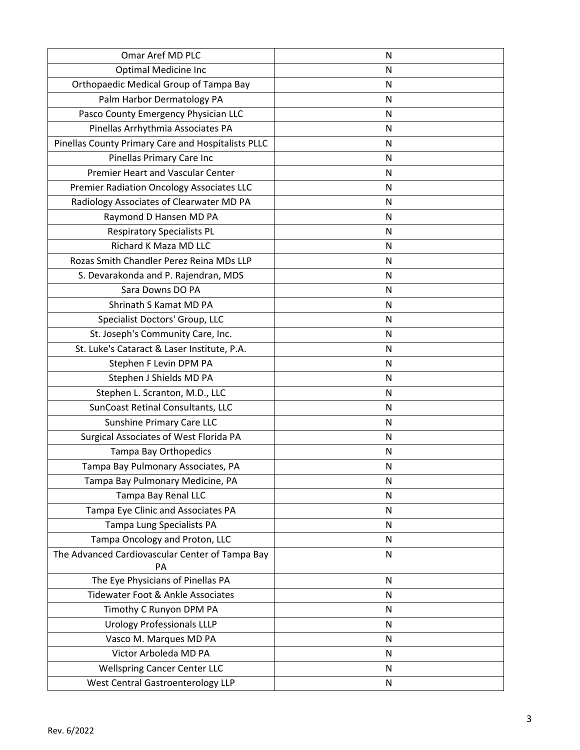| Omar Aref MD PLC                                   | N         |
|----------------------------------------------------|-----------|
| <b>Optimal Medicine Inc</b>                        | N         |
| Orthopaedic Medical Group of Tampa Bay             | N         |
| Palm Harbor Dermatology PA                         | N         |
| Pasco County Emergency Physician LLC               | N         |
| Pinellas Arrhythmia Associates PA                  | N         |
| Pinellas County Primary Care and Hospitalists PLLC | N         |
| Pinellas Primary Care Inc                          | N         |
| Premier Heart and Vascular Center                  | N         |
| Premier Radiation Oncology Associates LLC          | N         |
| Radiology Associates of Clearwater MD PA           | N         |
| Raymond D Hansen MD PA                             | N         |
| <b>Respiratory Specialists PL</b>                  | N         |
| Richard K Maza MD LLC                              | N         |
| Rozas Smith Chandler Perez Reina MDs LLP           | N         |
| S. Devarakonda and P. Rajendran, MDS               | N         |
| Sara Downs DO PA                                   | N         |
| Shrinath S Kamat MD PA                             | N         |
| Specialist Doctors' Group, LLC                     | N         |
| St. Joseph's Community Care, Inc.                  | N         |
| St. Luke's Cataract & Laser Institute, P.A.        | N         |
| Stephen F Levin DPM PA                             | N         |
| Stephen J Shields MD PA                            | N         |
| Stephen L. Scranton, M.D., LLC                     | N         |
| SunCoast Retinal Consultants, LLC                  | N         |
| Sunshine Primary Care LLC                          | N         |
| Surgical Associates of West Florida PA             | N         |
| Tampa Bay Orthopedics                              | N         |
| Tampa Bay Pulmonary Associates, PA                 | N         |
| Tampa Bay Pulmonary Medicine, PA                   | N         |
| Tampa Bay Renal LLC                                | ${\sf N}$ |
| Tampa Eye Clinic and Associates PA                 | N         |
| Tampa Lung Specialists PA                          | N         |
| Tampa Oncology and Proton, LLC                     | N         |
| The Advanced Cardiovascular Center of Tampa Bay    | ${\sf N}$ |
| PA                                                 |           |
| The Eye Physicians of Pinellas PA                  | N         |
| Tidewater Foot & Ankle Associates                  | N         |
| Timothy C Runyon DPM PA                            | N         |
| <b>Urology Professionals LLLP</b>                  | N         |
| Vasco M. Marques MD PA                             | N         |
| Victor Arboleda MD PA                              | N         |
| <b>Wellspring Cancer Center LLC</b>                | N         |
| <b>West Central Gastroenterology LLP</b>           | ${\sf N}$ |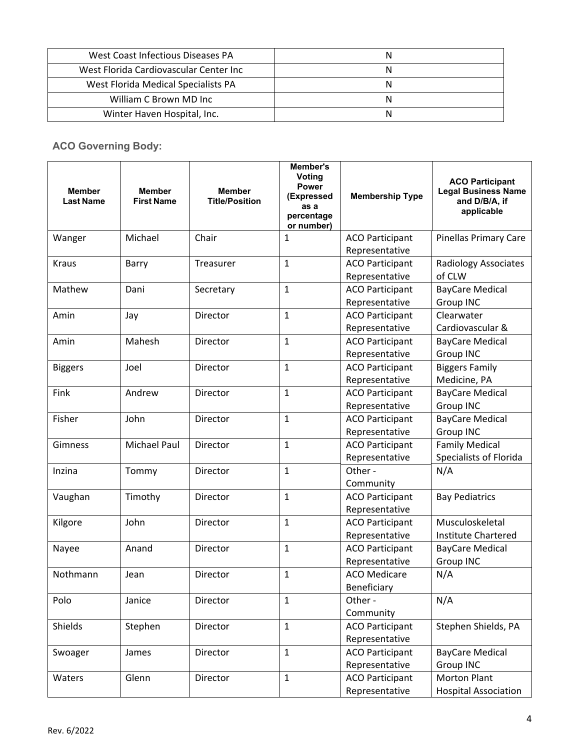| West Coast Infectious Diseases PA      |  |
|----------------------------------------|--|
| West Florida Cardiovascular Center Inc |  |
| West Florida Medical Specialists PA    |  |
| William C Brown MD Inc                 |  |
| Winter Haven Hospital, Inc.            |  |

### **ACO Governing Body:**

| <b>Member</b><br><b>Last Name</b> | <b>Member</b><br><b>First Name</b> | <b>Member</b><br><b>Title/Position</b> | Member's<br>Voting<br><b>Power</b><br>(Expressed<br>as a<br>percentage<br>or number) | <b>Membership Type</b> | <b>ACO Participant</b><br><b>Legal Business Name</b><br>and D/B/A, if<br>applicable |
|-----------------------------------|------------------------------------|----------------------------------------|--------------------------------------------------------------------------------------|------------------------|-------------------------------------------------------------------------------------|
| Wanger                            | Michael                            | Chair                                  | 1                                                                                    | <b>ACO Participant</b> | <b>Pinellas Primary Care</b>                                                        |
|                                   |                                    |                                        |                                                                                      | Representative         |                                                                                     |
| <b>Kraus</b>                      | Barry                              | Treasurer                              | $\mathbf{1}$                                                                         | <b>ACO Participant</b> | Radiology Associates                                                                |
|                                   |                                    |                                        |                                                                                      | Representative         | of CLW                                                                              |
| Mathew                            | Dani                               | Secretary                              | $\mathbf{1}$                                                                         | <b>ACO Participant</b> | <b>BayCare Medical</b>                                                              |
|                                   |                                    |                                        |                                                                                      | Representative         | <b>Group INC</b>                                                                    |
| Amin                              | Jay                                | Director                               | $\mathbf{1}$                                                                         | <b>ACO Participant</b> | Clearwater                                                                          |
|                                   |                                    |                                        |                                                                                      | Representative         | Cardiovascular &                                                                    |
| Amin                              | Mahesh                             | Director                               | $\mathbf{1}$                                                                         | <b>ACO Participant</b> | <b>BayCare Medical</b>                                                              |
|                                   |                                    |                                        |                                                                                      | Representative         | Group INC                                                                           |
| <b>Biggers</b>                    | Joel                               | Director                               | $\mathbf{1}$                                                                         | <b>ACO Participant</b> | <b>Biggers Family</b>                                                               |
|                                   |                                    |                                        |                                                                                      | Representative         | Medicine, PA                                                                        |
| Fink                              | Andrew                             | Director                               | $\mathbf{1}$                                                                         | <b>ACO Participant</b> | <b>BayCare Medical</b>                                                              |
|                                   |                                    |                                        |                                                                                      | Representative         | Group INC                                                                           |
| Fisher                            | John                               | <b>Director</b>                        | $\mathbf{1}$                                                                         | <b>ACO Participant</b> | <b>BayCare Medical</b>                                                              |
|                                   |                                    |                                        |                                                                                      | Representative         | Group INC                                                                           |
| Gimness                           | <b>Michael Paul</b>                | Director                               | $\mathbf{1}$                                                                         | <b>ACO Participant</b> | <b>Family Medical</b>                                                               |
|                                   |                                    |                                        |                                                                                      | Representative         | Specialists of Florida                                                              |
| Inzina                            | Tommy                              | Director                               | $\mathbf{1}$                                                                         | Other -                | N/A                                                                                 |
|                                   |                                    |                                        |                                                                                      | Community              |                                                                                     |
| Vaughan                           | Timothy                            | Director                               | $\mathbf{1}$                                                                         | <b>ACO Participant</b> | <b>Bay Pediatrics</b>                                                               |
|                                   |                                    |                                        |                                                                                      | Representative         |                                                                                     |
| Kilgore                           | John                               | Director                               | $\mathbf{1}$                                                                         | <b>ACO Participant</b> | Musculoskeletal                                                                     |
|                                   |                                    |                                        |                                                                                      | Representative         | <b>Institute Chartered</b>                                                          |
| Nayee                             | Anand                              | Director                               | $\mathbf{1}$                                                                         | <b>ACO Participant</b> | <b>BayCare Medical</b>                                                              |
|                                   |                                    |                                        |                                                                                      | Representative         | Group INC                                                                           |
| Nothmann                          | Jean                               | Director                               | $\mathbf{1}$                                                                         | <b>ACO Medicare</b>    | N/A                                                                                 |
|                                   |                                    |                                        |                                                                                      | Beneficiary            |                                                                                     |
| Polo                              | Janice                             | Director                               | $\mathbf{1}$                                                                         | Other -                | N/A                                                                                 |
|                                   |                                    |                                        |                                                                                      | Community              |                                                                                     |
| Shields                           | Stephen                            | Director                               | $\mathbf{1}$                                                                         | <b>ACO Participant</b> | Stephen Shields, PA                                                                 |
|                                   |                                    |                                        |                                                                                      | Representative         |                                                                                     |
| Swoager                           | James                              | Director                               | $\mathbf{1}$                                                                         | <b>ACO Participant</b> | <b>BayCare Medical</b>                                                              |
|                                   |                                    |                                        |                                                                                      | Representative         | Group INC                                                                           |
| Waters                            | Glenn                              | Director                               | $\mathbf{1}$                                                                         | <b>ACO Participant</b> | <b>Morton Plant</b>                                                                 |
|                                   |                                    |                                        |                                                                                      | Representative         | <b>Hospital Association</b>                                                         |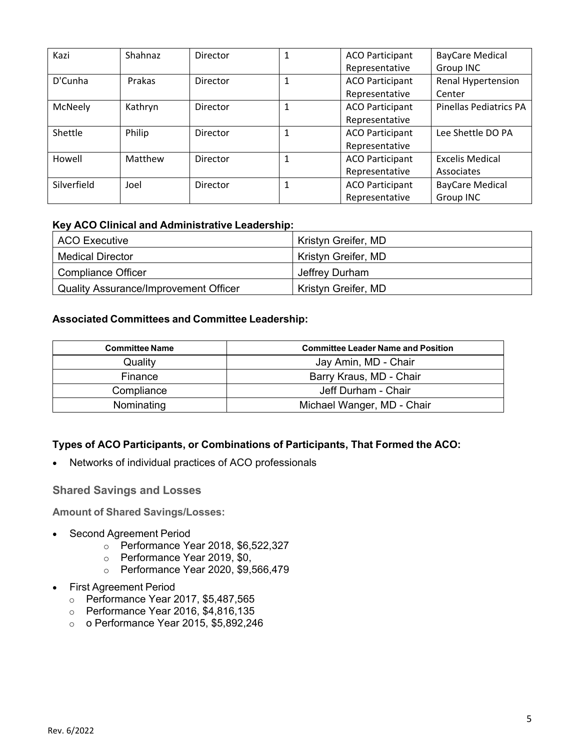| Kazi        | Shahnaz | Director | 1 | <b>ACO Participant</b> | <b>BayCare Medical</b>        |
|-------------|---------|----------|---|------------------------|-------------------------------|
|             |         |          |   | Representative         | Group INC                     |
| D'Cunha     | Prakas  | Director | 1 | <b>ACO Participant</b> | Renal Hypertension            |
|             |         |          |   | Representative         | Center                        |
| McNeely     | Kathryn | Director | 1 | <b>ACO Participant</b> | <b>Pinellas Pediatrics PA</b> |
|             |         |          |   | Representative         |                               |
| Shettle     | Philip  | Director | 1 | <b>ACO Participant</b> | Lee Shettle DO PA             |
|             |         |          |   | Representative         |                               |
| Howell      | Matthew | Director | 1 | <b>ACO Participant</b> | <b>Excelis Medical</b>        |
|             |         |          |   | Representative         | Associates                    |
| Silverfield | Joel    | Director | 1 | <b>ACO Participant</b> | <b>BayCare Medical</b>        |
|             |         |          |   | Representative         | Group INC                     |

#### **Key ACO Clinical and Administrative Leadership:**

| ACO Executive                                | Kristyn Greifer, MD |
|----------------------------------------------|---------------------|
| Medical Director                             | Kristyn Greifer, MD |
| <b>Compliance Officer</b>                    | Jeffrey Durham      |
| <b>Quality Assurance/Improvement Officer</b> | Kristyn Greifer, MD |

#### **Associated Committees and Committee Leadership:**

| <b>Committee Name</b> | <b>Committee Leader Name and Position</b> |  |  |
|-----------------------|-------------------------------------------|--|--|
| Quality               | Jay Amin, MD - Chair                      |  |  |
| Finance               | Barry Kraus, MD - Chair                   |  |  |
| Compliance            | Jeff Durham - Chair                       |  |  |
| Nominating            | Michael Wanger, MD - Chair                |  |  |

#### **Types of ACO Participants, or Combinations of Participants, That Formed the ACO:**

Networks of individual practices of ACO professionals

**Shared Savings and Losses** 

**Amount of Shared Savings/Losses:** 

- Second Agreement Period
	- o Performance Year 2018, \$6,522,327
	- o Performance Year 2019, \$0,
	- o Performance Year 2020, \$9,566,479
- First Agreement Period
	- o Performance Year 2017, \$5,487,565
	- o Performance Year 2016, \$4,816,135
	- o o Performance Year 2015, \$5,892,246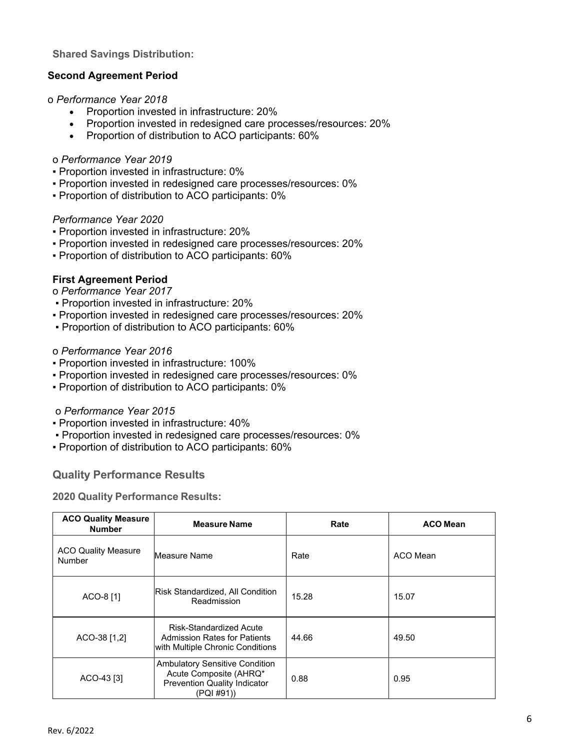#### **Shared Savings Distribution:**

#### **Second Agreement Period**

#### o *Performance Year 2018*

- Proportion invested in infrastructure: 20%
- Proportion invested in redesigned care processes/resources: 20%
- Proportion of distribution to ACO participants: 60%

#### o *Performance Year 2019*

- Proportion invested in infrastructure: 0%
- Proportion invested in redesigned care processes/resources: 0%
- Proportion of distribution to ACO participants: 0%

#### *Performance Year 2020*

- Proportion invested in infrastructure: 20%
- Proportion invested in redesigned care processes/resources: 20%
- Proportion of distribution to ACO participants: 60%

#### **First Agreement Period**

#### o *Performance Year 2017*

- Proportion invested in infrastructure: 20%
- Proportion invested in redesigned care processes/resources: 20%
- Proportion of distribution to ACO participants: 60%

#### o *Performance Year 2016*

- Proportion invested in infrastructure: 100%
- Proportion invested in redesigned care processes/resources: 0%
- Proportion of distribution to ACO participants: 0%

#### o *Performance Year 2015*

- Proportion invested in infrastructure: 40%
- Proportion invested in redesigned care processes/resources: 0%
- Proportion of distribution to ACO participants: 60%

#### **Quality Performance Results**

#### **2020 Quality Performance Results:**

| <b>ACO Quality Measure</b><br><b>Number</b> | <b>Measure Name</b>                                                                                                  | Rate  | <b>ACO Mean</b> |
|---------------------------------------------|----------------------------------------------------------------------------------------------------------------------|-------|-----------------|
| <b>ACO Quality Measure</b><br><b>Number</b> | Measure Name                                                                                                         | Rate  | ACO Mean        |
| ACO-8 [1]                                   | Risk Standardized, All Condition<br>Readmission                                                                      | 15.28 | 15.07           |
| ACO-38 [1,2]                                | Risk-Standardized Acute<br><b>Admission Rates for Patients</b><br>with Multiple Chronic Conditions                   | 44.66 | 49.50           |
| ACO-43 [3]                                  | <b>Ambulatory Sensitive Condition</b><br>Acute Composite (AHRQ*<br><b>Prevention Quality Indicator</b><br>(PQI #91)) | 0.88  | 0.95            |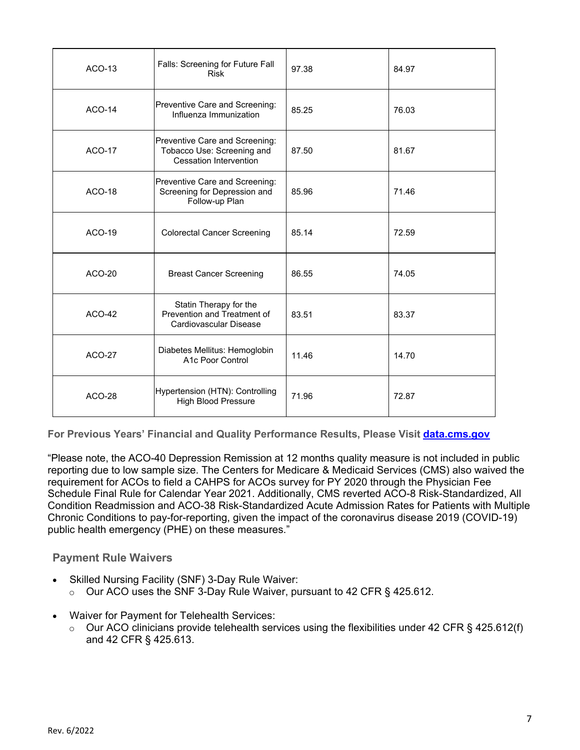| $ACO-13$      | Falls: Screening for Future Fall<br><b>Risk</b>                                               | 97.38 | 84.97 |
|---------------|-----------------------------------------------------------------------------------------------|-------|-------|
| $ACO-14$      | Preventive Care and Screening:<br>Influenza Immunization                                      | 85.25 | 76.03 |
| <b>ACO-17</b> | Preventive Care and Screening:<br>Tobacco Use: Screening and<br><b>Cessation Intervention</b> | 87.50 | 81.67 |
| <b>ACO-18</b> | Preventive Care and Screening:<br>Screening for Depression and<br>Follow-up Plan              | 85.96 | 71.46 |
| ACO-19        | <b>Colorectal Cancer Screening</b>                                                            | 85.14 | 72.59 |
| $ACO-20$      | <b>Breast Cancer Screening</b>                                                                | 86.55 | 74.05 |
| $ACO-42$      | Statin Therapy for the<br>Prevention and Treatment of<br>Cardiovascular Disease               | 83.51 | 83.37 |
| <b>ACO-27</b> | Diabetes Mellitus: Hemoglobin<br>A1c Poor Control                                             | 11.46 | 14.70 |
| <b>ACO-28</b> | Hypertension (HTN): Controlling<br><b>High Blood Pressure</b>                                 | 71.96 | 72.87 |

**For Previous Years' Financial and Quality Performance Results, Please Visit data.cms.gov** 

"Please note, the ACO-40 Depression Remission at 12 months quality measure is not included in public reporting due to low sample size. The Centers for Medicare & Medicaid Services (CMS) also waived the requirement for ACOs to field a CAHPS for ACOs survey for PY 2020 through the Physician Fee Schedule Final Rule for Calendar Year 2021. Additionally, CMS reverted ACO-8 Risk-Standardized, All Condition Readmission and ACO-38 Risk-Standardized Acute Admission Rates for Patients with Multiple Chronic Conditions to pay-for-reporting, given the impact of the coronavirus disease 2019 (COVID-19) public health emergency (PHE) on these measures."

#### **Payment Rule Waivers**

- Skilled Nursing Facility (SNF) 3-Day Rule Waiver:
	- o Our ACO uses the SNF 3-Day Rule Waiver, pursuant to 42 CFR § 425.612.
- Waiver for Payment for Telehealth Services:
	- $\circ$  Our ACO clinicians provide telehealth services using the flexibilities under 42 CFR § 425.612(f) and 42 CFR § 425.613.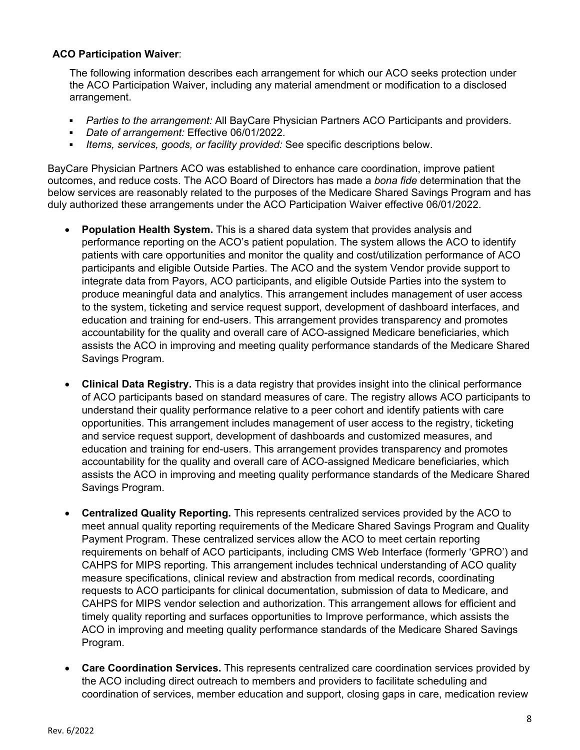#### **ACO Participation Waiver**:

The following information describes each arrangement for which our ACO seeks protection under the ACO Participation Waiver, including any material amendment or modification to a disclosed arrangement.

- *Parties to the arrangement:* All BayCare Physician Partners ACO Participants and providers.
- *Date of arrangement:* Effective 06/01/2022.
- *Items, services, goods, or facility provided:* See specific descriptions below.

BayCare Physician Partners ACO was established to enhance care coordination, improve patient outcomes, and reduce costs. The ACO Board of Directors has made a *bona fide* determination that the below services are reasonably related to the purposes of the Medicare Shared Savings Program and has duly authorized these arrangements under the ACO Participation Waiver effective 06/01/2022.

- **Population Health System.** This is a shared data system that provides analysis and performance reporting on the ACO's patient population. The system allows the ACO to identify patients with care opportunities and monitor the quality and cost/utilization performance of ACO participants and eligible Outside Parties. The ACO and the system Vendor provide support to integrate data from Payors, ACO participants, and eligible Outside Parties into the system to produce meaningful data and analytics. This arrangement includes management of user access to the system, ticketing and service request support, development of dashboard interfaces, and education and training for end-users. This arrangement provides transparency and promotes accountability for the quality and overall care of ACO-assigned Medicare beneficiaries, which assists the ACO in improving and meeting quality performance standards of the Medicare Shared Savings Program.
- **Clinical Data Registry.** This is a data registry that provides insight into the clinical performance of ACO participants based on standard measures of care. The registry allows ACO participants to understand their quality performance relative to a peer cohort and identify patients with care opportunities. This arrangement includes management of user access to the registry, ticketing and service request support, development of dashboards and customized measures, and education and training for end-users. This arrangement provides transparency and promotes accountability for the quality and overall care of ACO-assigned Medicare beneficiaries, which assists the ACO in improving and meeting quality performance standards of the Medicare Shared Savings Program.
- **Centralized Quality Reporting.** This represents centralized services provided by the ACO to meet annual quality reporting requirements of the Medicare Shared Savings Program and Quality Payment Program. These centralized services allow the ACO to meet certain reporting requirements on behalf of ACO participants, including CMS Web Interface (formerly 'GPRO') and CAHPS for MIPS reporting. This arrangement includes technical understanding of ACO quality measure specifications, clinical review and abstraction from medical records, coordinating requests to ACO participants for clinical documentation, submission of data to Medicare, and CAHPS for MIPS vendor selection and authorization. This arrangement allows for efficient and timely quality reporting and surfaces opportunities to Improve performance, which assists the ACO in improving and meeting quality performance standards of the Medicare Shared Savings Program.
- **Care Coordination Services.** This represents centralized care coordination services provided by the ACO including direct outreach to members and providers to facilitate scheduling and coordination of services, member education and support, closing gaps in care, medication review